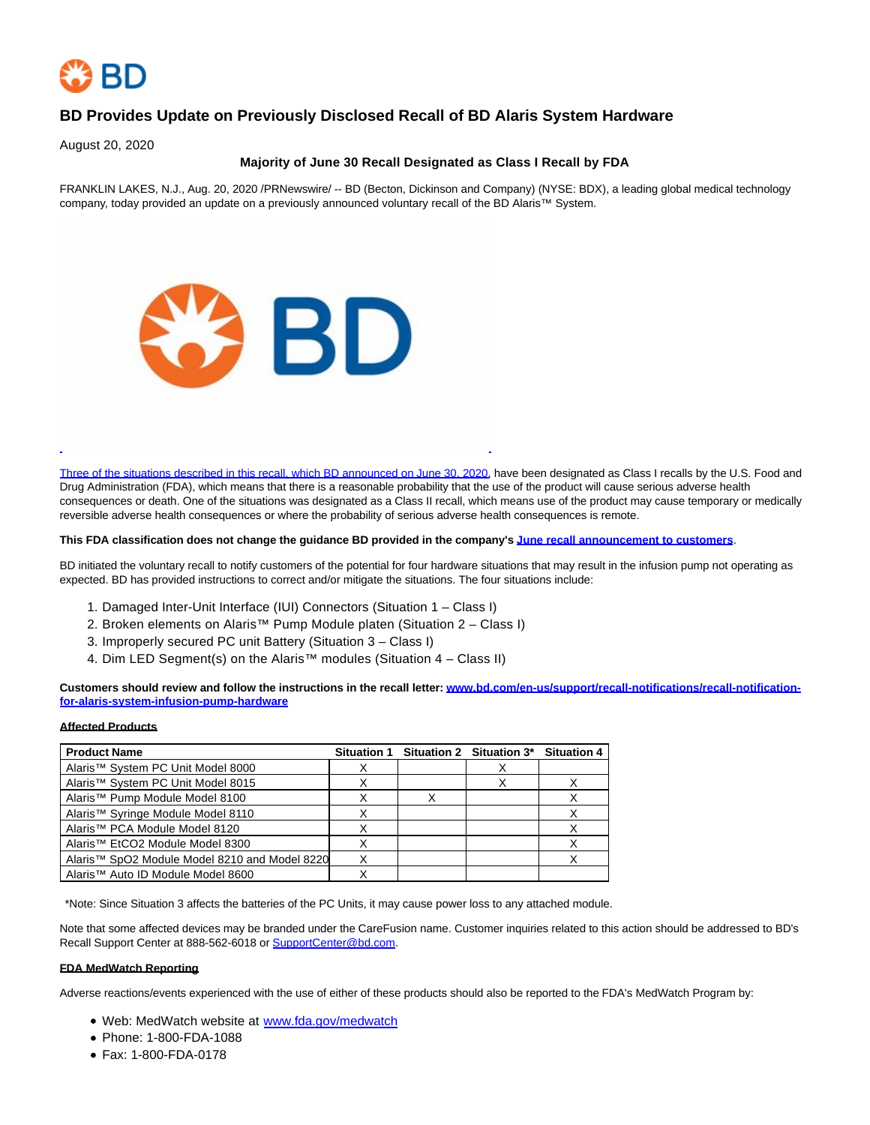

# **BD Provides Update on Previously Disclosed Recall of BD Alaris System Hardware**

August 20, 2020

# **Majority of June 30 Recall Designated as Class I Recall by FDA**

FRANKLIN LAKES, N.J., Aug. 20, 2020 /PRNewswire/ -- BD (Becton, Dickinson and Company) (NYSE: BDX), a leading global medical technology company, today provided an update on a previously announced voluntary recall of the BD Alaris™ System.



[Three of the situations described in this recall, which BD announced on June 30, 2020,](https://c212.net/c/link/?t=0&l=en&o=2892418-1&h=337224776&u=https%3A%2F%2Fwww.bd.com%2Fen-us%2Fsupport%2Frecall-notifications%2Frecall-notification-for-alaris-system-infusion-pump-hardware&a=Three+of+the+situations+described+in+this+recall%2C+which+BD+announced+on+June+30%2C+2020) have been designated as Class I recalls by the U.S. Food and Drug Administration (FDA), which means that there is a reasonable probability that the use of the product will cause serious adverse health consequences or death. One of the situations was designated as a Class II recall, which means use of the product may cause temporary or medically reversible adverse health consequences or where the probability of serious adverse health consequences is remote.

#### **This FDA classification does not change the guidance BD provided in the company's [June recall announcement to customers](https://c212.net/c/link/?t=0&l=en&o=2892418-1&h=3644598118&u=https%3A%2F%2Fwww.bd.com%2Fen-us%2Fsupport%2Frecall-notifications%2Frecall-notification-for-alaris-system-infusion-pump-hardware&a=June+recall+announcement+to+customers)**.

BD initiated the voluntary recall to notify customers of the potential for four hardware situations that may result in the infusion pump not operating as expected. BD has provided instructions to correct and/or mitigate the situations. The four situations include:

- 1. Damaged Inter-Unit Interface (IUI) Connectors (Situation 1 Class I)
- 2. Broken elements on Alaris™ Pump Module platen (Situation 2 Class I)
- 3. Improperly secured PC unit Battery (Situation 3 Class I)
- 4. Dim LED Segment(s) on the Alaris™ modules (Situation 4 Class II)

**Customers should review and follow the instructions in the recall letter[: www.bd.com/en-us/support/recall-notifications/recall-notification](https://c212.net/c/link/?t=0&l=en&o=2892418-1&h=157461147&u=http%3A%2F%2Fwww.bd.com%2Fen-us%2Fsupport%2Frecall-notifications%2Frecall-notification-for-alaris-system-infusion-pump-hardware&a=www.bd.com%2Fen-us%2Fsupport%2Frecall-notifications%2Frecall-notification-for-alaris-system-infusion-pump-hardware)for-alaris-system-infusion-pump-hardware**

#### **Affected Products**

| <b>Product Name</b>                                       | <b>Situation 1</b> | Situation 2 Situation 3* Situation 4 |  |
|-----------------------------------------------------------|--------------------|--------------------------------------|--|
| Alaris <sup>™</sup> System PC Unit Model 8000             |                    |                                      |  |
| Alaris <sup>™</sup> System PC Unit Model 8015             |                    |                                      |  |
| Alaris <sup>™</sup> Pump Module Model 8100                |                    |                                      |  |
| Alaris <sup>™</sup> Syringe Module Model 8110             |                    |                                      |  |
| Alaris™ PCA Module Model 8120                             |                    |                                      |  |
| Alaris <sup>™</sup> EtCO2 Module Model 8300               |                    |                                      |  |
| Alaris <sup>™</sup> SpO2 Module Model 8210 and Model 8220 |                    |                                      |  |
| Alaris <sup>™</sup> Auto ID Module Model 8600             |                    |                                      |  |

\*Note: Since Situation 3 affects the batteries of the PC Units, it may cause power loss to any attached module.

Note that some affected devices may be branded under the CareFusion name. Customer inquiries related to this action should be addressed to BD's Recall Support Center at 888-562-6018 or [SupportCenter@bd.com.](mailto:SupportCenter@bd.com) 

### **FDA MedWatch Reporting**

Adverse reactions/events experienced with the use of either of these products should also be reported to the FDA's MedWatch Program by:

- Web: MedWatch website at [www.fda.gov/medwatch](https://c212.net/c/link/?t=0&l=en&o=2892418-1&h=3222472629&u=http%3A%2F%2Fwww.fda.gov%2Fmedwatch&a=www.fda.gov%2Fmedwatch)
- Phone: 1-800-FDA-1088
- Fax: 1-800-FDA-0178